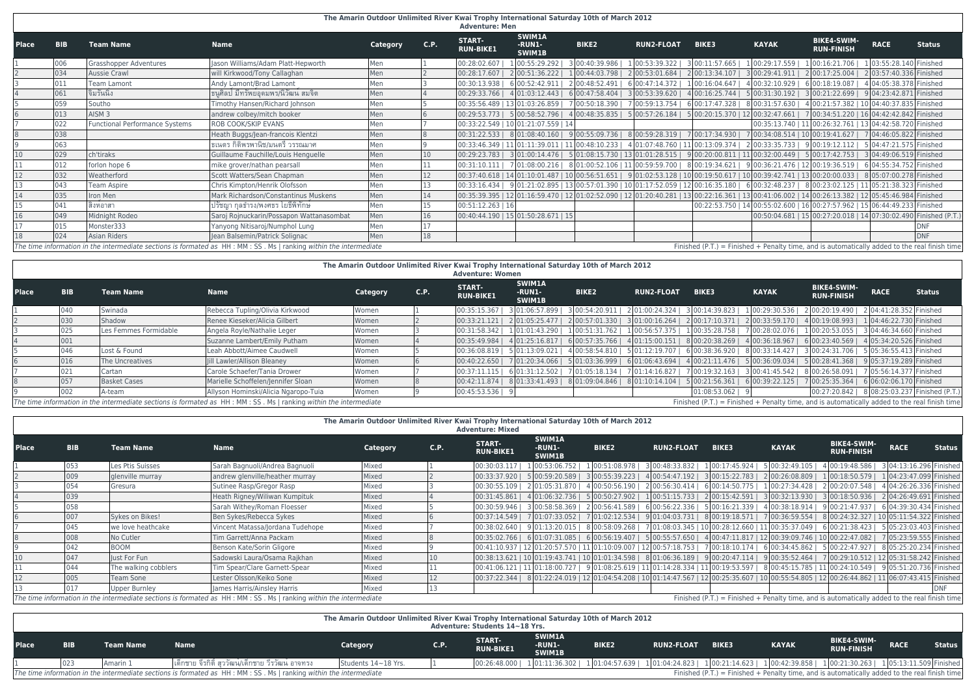# **The Amarin Outdoor Unlimited River Kwai Trophy International Saturday 10th of March 2012**

|              |               |                                |                                                                                                                      |                 |      | <b>Adventure: Men</b>             |                                          |                                                                                                                                                                                                                                                        |                   |              |              |                                                                                               |             |               |
|--------------|---------------|--------------------------------|----------------------------------------------------------------------------------------------------------------------|-----------------|------|-----------------------------------|------------------------------------------|--------------------------------------------------------------------------------------------------------------------------------------------------------------------------------------------------------------------------------------------------------|-------------------|--------------|--------------|-----------------------------------------------------------------------------------------------|-------------|---------------|
| <b>Place</b> | <b>BIB</b>    | <b>Team Name</b>               | <b>Name</b>                                                                                                          | <b>Category</b> | C.P. | <b>START-</b><br><b>RUN-BIKE1</b> | <b>SWIM1A</b><br>-RUN1-<br><b>SWIM1B</b> | <b>BIKE2</b>                                                                                                                                                                                                                                           | <b>RUN2-FLOAT</b> | <b>BIKE3</b> | <b>KAYAK</b> | <b>BIKE4-SWIM-</b><br><b>RUN-FINISH</b>                                                       | <b>RACE</b> | <b>Status</b> |
|              | 006           | <b>Grasshopper Adventures</b>  | Jason Williams/Adam Platt-Hepworth                                                                                   | Men             |      | 00:28:02.607                      |                                          | 1 00:55:29.292  3 00:40:39.986  1 00:53:39.322  3 00:11:57.665  1 00:29:17.559  1 00:16:21.706  1 03:55:28.140 Finished                                                                                                                                |                   |              |              |                                                                                               |             |               |
|              | 034           | <b>Aussie Crawl</b>            | will Kirkwood/Tony Callaghan                                                                                         | Men             |      |                                   |                                          | 00:28:17.607   2 00:51:36.222   1 00:44:03.798   2 00:53:01.684   2 00:13:34.107   3 00:29:41.911   2 00:17:25.004   2 03:57:40.336   Finished                                                                                                         |                   |              |              |                                                                                               |             |               |
|              | 011           | <b>Team Lamont</b>             | Andy Lamont/Brad Lamont                                                                                              | Men             |      |                                   |                                          | 00:30:13.938   6 00:52:42.911   2 00:48:52.491   6 00:47:14.372   1 00:16:04.647   4 00:32:10.929   6 00:18:19.087   4 04:05:38.378 Finished                                                                                                           |                   |              |              |                                                                                               |             |               |
|              | 061           | จิมรันนิ่ง                     | ุธนูศิลป์ มีทรัพย์อุดมพร/นิวัฒน์ สมจิต                                                                               | Men             |      |                                   |                                          | 00:29:33.766   4 01:03:12.443   6 00:47:58.404   3 00:53:39.620   4 00:16:25.744   5 00:31:30.192   3 00:21:22.699   9 04:23:42.871   Finished                                                                                                         |                   |              |              |                                                                                               |             |               |
|              | 059           | Southo                         | Timothy Hansen/Richard Johnson                                                                                       | Men             |      |                                   |                                          | 00:35:56.489   13 01:03:26.859   7 00:50:18.390   7 00:59:13.754   6 00:17:47.328   8 00:31:57.630   4 00:21:57.382   10 04:40:37.835   Finished                                                                                                       |                   |              |              |                                                                                               |             |               |
|              | 013           | AISM <sub>3</sub>              | andrew colbey/mitch booker                                                                                           | Men             |      |                                   |                                          | $[00:29:53.773   5   00:58:52.796   4   00:48:35.835   5   00:57:26.184   5   00:20:15.370   12   00:32:47.661   7   00:34:51.220   16   04:42:42.842   5   00:57:26.184   5   00:20:15.370   12   00:32:47.661   7   00:34:51.220   16   04:42:42.84$ |                   |              |              |                                                                                               |             |               |
|              | 022           | Functional Performance Systems | <b>ROB COOK/SKIP EVANS</b>                                                                                           | Men             |      |                                   | 00:33:22.549 10 01:21:07.559 14          |                                                                                                                                                                                                                                                        |                   |              |              | 00:35:13.740   11 00:26:32.761   13 04:42:58.720   Finished                                   |             |               |
|              | 038           |                                | Heath Buggs/Jean-francois Klentzi                                                                                    | Men             |      |                                   |                                          | $00:31:22.533$   8 01:08:40.160   9 00:55:09.736   8 00:59:28.319   7 00:17:34.930   7 00:34:08.514   10 00:19:41.627   7 04:46:05.822   Finished                                                                                                      |                   |              |              |                                                                                               |             |               |
|              | 063           |                                | ุธเนตร กิติพรพานิช/มนตรี วรรณมาศ                                                                                     | Men             |      |                                   |                                          |                                                                                                                                                                                                                                                        |                   |              |              |                                                                                               |             |               |
| 10           | 029           | ch'tiraks                      | Guillaume Fauchille/Louis Henguelle                                                                                  | Men             |      |                                   |                                          | $[00:29:23.783   3]01:00:14.476   5]01:08:15.730   13]01:01:28.515   9]00:20:00.811   11]00:32:00.449   5]00:17:42.753   3]04:49:06.519   Finished$                                                                                                    |                   |              |              |                                                                                               |             |               |
| 11           | 012           | forlon hope 6                  | mike grover/nathan pearsall                                                                                          | Men             |      |                                   |                                          | 00:31:10.111   7 01:08:00.216   8 01:00:52.106   11 00:59:59.700   8 00:19:34.621   9 00:36:21.476   12 00:19:36.519   6 04:55:34.752   Finished                                                                                                       |                   |              |              |                                                                                               |             |               |
| 12           | 032           | Weatherford                    | Scott Watters/Sean Chapman                                                                                           | Men             | 12   |                                   |                                          | $[00:37:40.618   14   01:10:01.487   10   00:56:51.651   9   01:02:53.128   10   00:19:50.617   10   00:39:42.741   13   00:20:00.033   8   05:07:00.278   $ Finished                                                                                  |                   |              |              |                                                                                               |             |               |
| 13           | 043           | <b>Team Aspire</b>             | Chris Kimpton/Henrik Olofsson                                                                                        | Men             |      |                                   |                                          | 00:33:16.434   9 01:21:02.895   13 00:57:01.390   10 01:17:52.059   12 00:16:35.180   6 00:32:48.237   8 00:23:02.125   11 05:21:38.323   Finished                                                                                                     |                   |              |              |                                                                                               |             |               |
| 14           | 035           | Iron Men                       | Mark Richardson/Constantinus Muskens                                                                                 | Men             | 14   |                                   |                                          | 00:35:39.395   12 01:16:59.470   12 01:02:52.090   12 01:20:40.281   13 00:22:16.361   13 00:41:06.002   14 00:26:13.382   12 05:45:46.984   Finished                                                                                                  |                   |              |              |                                                                                               |             |               |
| 15           | 041           | สิงหอาสา                       | ปรัชญา กุลธำรง/พงศธร โยธีพิทักษ์                                                                                     | Men             | 15   | 00:51:12.263 16                   |                                          |                                                                                                                                                                                                                                                        |                   |              |              | 00:22:53.750   14 00:55:02.600   16 00:27:57.962   15 06:44:49.233   Finished                 |             |               |
| 16           | 049           | Midnight Rodeo                 | Saroj Rojnuckarin/Possapon Wattanasombat                                                                             | Men             | 16   |                                   | 00:40:44.190 15 01:50:28.671 15          |                                                                                                                                                                                                                                                        |                   |              |              | 00:50:04.681   15 00:27:20.018   14 07:30:02.490   Finished (P.T.)                            |             |               |
| 17           | 015           | Monster333                     | Yanyong Nitisaroj/Numphol Lung                                                                                       | Men             | 17   |                                   |                                          |                                                                                                                                                                                                                                                        |                   |              |              |                                                                                               |             | <b>DNF</b>    |
| 18           | $ 024\rangle$ | Asian Riders                   | Jean Balsemin/Patrick Solignac                                                                                       | Men             | 18   |                                   |                                          |                                                                                                                                                                                                                                                        |                   |              |              |                                                                                               |             | <b>DNF</b>    |
|              |               |                                | The time information in the intermediate sections is formated as HH : MM : SS . Ms   ranking within the intermediate |                 |      |                                   |                                          |                                                                                                                                                                                                                                                        |                   |              |              | Finished (P.T.) = Finished + Penalty time, and is automatically added to the real finish time |             |               |

|       | The Amarin Outdoor Unlimited River Kwai Trophy International Saturday 10th of March 2012<br><b>Adventure: Women</b> |                          |                                                                                                                      |                 |             |                                   |                                          |                                                                                                                                                                                                                                                |                   |                                                   |                                                                                               |                                               |                         |               |
|-------|---------------------------------------------------------------------------------------------------------------------|--------------------------|----------------------------------------------------------------------------------------------------------------------|-----------------|-------------|-----------------------------------|------------------------------------------|------------------------------------------------------------------------------------------------------------------------------------------------------------------------------------------------------------------------------------------------|-------------------|---------------------------------------------------|-----------------------------------------------------------------------------------------------|-----------------------------------------------|-------------------------|---------------|
| Place | <b>BIB</b>                                                                                                          | l Team Name <sup>\</sup> | <b>Name</b>                                                                                                          | <b>Category</b> | <b>C.P.</b> | <b>START-</b><br><b>RUN-BIKE1</b> | <b>SWIM1A</b><br>-RUN1-<br><b>SWIM1B</b> | <b>BIKE2</b>                                                                                                                                                                                                                                   | <b>RUN2-FLOAT</b> | <b>BIKE3</b>                                      | <b>KAYAK</b>                                                                                  | <b>BIKE4-SWIM-</b><br><b>RUN-FINISH</b>       | <b>RACE</b>             | <b>Status</b> |
|       | 040                                                                                                                 | Swinada                  | Rebecca Tupling/Olivia Kirkwood                                                                                      | Women           |             | 00:35:15.367                      |                                          | $3 01:06:57.899 $ 3 00:54:20.911   2 01:00:24.324   3 00:14:39.823   1 00:29:30.536                                                                                                                                                            |                   |                                                   |                                                                                               | 2 00:20:19.490   2 04:41:28.352 Finished      |                         |               |
|       | 030                                                                                                                 | Shadow                   | Renee Kieseker/Alicia Gilbert                                                                                        | Women           |             |                                   |                                          | 00:33:21.121   2 01:05:25.477   2 00:57:01.330   3 01:00:16.264   2 00:17:10.371   2 00:33:59.170   4 00:19:08.993   1 04:46:22.730   Finished                                                                                                 |                   |                                                   |                                                                                               |                                               |                         |               |
|       | 025                                                                                                                 | Les Femmes Formidable    | Angela Royle/Nathalie Leger                                                                                          | Women           |             |                                   |                                          | 00:31:58.342   101:01:43.290   100:51:31.762   100:56:57.375   100:35:28.758   700:28:02.076   100:20:53.055   304:46:34.660   Finished                                                                                                        |                   |                                                   |                                                                                               |                                               |                         |               |
|       | 001                                                                                                                 |                          | Suzanne Lambert/Emily Putham                                                                                         | Women           |             |                                   |                                          | $\vert 00:35:49.984 \vert$ 4 $\vert 01:25:16.817 \vert$ 6 $\vert 00:57:35.766 \vert$ 4 $\vert 01:15:00.151 \vert$ 8 $\vert 00:20:38.269 \vert$ 4 $\vert 00:36:18.967 \vert$ 6 $\vert 00:23:40.569 \vert$ 4 $\vert 05:34:20.526 \vert$ Finished |                   |                                                   |                                                                                               |                                               |                         |               |
|       | 046                                                                                                                 | Lost & Found             | Leah Abbott/Aimee Caudwell                                                                                           | Women           |             |                                   |                                          | $00:36:08.819$   $5 01:13:09.021$   $4 00:58:54.810$                                                                                                                                                                                           |                   |                                                   | 5 01:12:19.707   6 00:38:36.920   8 00:33:14.427   3 00:24:31.706   5 05:36:55.413   Finished |                                               |                         |               |
|       | 016                                                                                                                 | The Uncreatives          | Jill Lawler/Allison Bleaney                                                                                          | Women           |             |                                   |                                          | $ 00:40:22.650 $ 7 $ 01:20:34.066 $ 5 $ 01:03:36.999 $                                                                                                                                                                                         |                   | $6 01:06:43.694 $ 4 00:21:11.476   5 00:36:09.034 |                                                                                               | 5 00:28:41.368   9 05:37:19.289 Finished      |                         |               |
|       | 021                                                                                                                 | Cartan                   | Carole Schaefer/Tania Drower                                                                                         | Women           |             | 00:37:11.115                      | 6 01:31:12.502                           | 7 01:05:18.134                                                                                                                                                                                                                                 | 7 01:14:16.827    | 7 00:19:32.163   3 00:41:45.542                   |                                                                                               | 8 00:26:58.091                                | 7 05:56:14.377 Finished |               |
|       | 057                                                                                                                 | <b>Basket Cases</b>      | Marielle Schoffelen/Jennifer Sloan                                                                                   | Women           |             |                                   |                                          | $ 00:42:11.874 8 01:33:41.493 8 01:09:04.846 $                                                                                                                                                                                                 |                   | 8 01:10:14.104   5 00:21:56.361   6 00:39:22.125  |                                                                                               | 7 00:25:35.364                                | 6 06:02:06.170 Finished |               |
|       | 002                                                                                                                 | A-team                   | Allyson Hominski/Alicia Ngaropo-Tuia                                                                                 | Women           |             | 00:45:53.536                      |                                          |                                                                                                                                                                                                                                                |                   | $ 01:08:53.062 $ 9                                |                                                                                               | 00:27:20.842   8 08:25:03.237 Finished (P.T.) |                         |               |
|       |                                                                                                                     |                          | The time information in the intermediate sections is formated as HH : MM : SS . Ms   ranking within the intermediate |                 |             |                                   |                                          |                                                                                                                                                                                                                                                |                   |                                                   | Finished (P.T.) = Finished + Penalty time, and is automatically added to the real finish time |                                               |                         |               |

**The Amarin Outdoor Unlimited River Kwai Trophy International Saturday 10th of March 2012**

|              | <b>Adventure: Mixed</b> |                      |                                                                                                                      |                 |      |                                   |                                                                                                                                                                                |                |                   |                                                                                                |              |                                          |             |               |
|--------------|-------------------------|----------------------|----------------------------------------------------------------------------------------------------------------------|-----------------|------|-----------------------------------|--------------------------------------------------------------------------------------------------------------------------------------------------------------------------------|----------------|-------------------|------------------------------------------------------------------------------------------------|--------------|------------------------------------------|-------------|---------------|
| <b>Place</b> | <b>BIB</b>              | <b>Team Name</b>     | <b>Name</b>                                                                                                          | <b>Category</b> | C.P. | <b>START-</b><br><b>RUN-BIKE1</b> | <b>SWIM1A</b><br>-RUN1-<br><b>SWIM1B</b>                                                                                                                                       | <b>BIKE2</b>   | <b>RUN2-FLOAT</b> | <b>BIKE3</b>                                                                                   | <b>KAYAK</b> | <b>BIKE4-SWIM-</b><br><b>RUN-FINISH</b>  | <b>RACE</b> | <b>Status</b> |
|              | 053                     | Les Ptis Suisses     | Sarah Bagnuoli/Andrea Bagnuoli                                                                                       | Mixed           |      | 00:30:03.117                      | 1 00:53:06.752                                                                                                                                                                 | 1 00:51:08.978 |                   | $3 00:48:33.832 $ 1 00:17:45.924   5 00:32:49.105                                              |              | 4 00:19:48.586   3 04:13:16.296 Finished |             |               |
|              | 009                     | glenville murray     | andrew glenville/heather murray                                                                                      | Mixed           |      |                                   | 00:33:37.920   500:59:20.589   300:55:39.223   400:54:47.192   300:15:22.783   200:26:08.809   100:18:50.579   104:23:47.099   Finished                                        |                |                   |                                                                                                |              |                                          |             |               |
|              | 054                     | Gresura              | Sutinee Rasp/Gregor Rasp                                                                                             | Mixed           |      |                                   | 00:30:55.109   201:05:31.870   400:50:56.190   200:56:30.414   600:14:50.775   100:27:34.428   200:20:07.548   404:26:26.336   Finished                                        |                |                   |                                                                                                |              |                                          |             |               |
|              | 039                     |                      | Heath Rigney/Wiliwan Kumpituk                                                                                        | Mixed           |      |                                   | $[00:31:45.861 \mid 4]01:06:32.736 \mid 5]00:50:27.902 \mid 1]00:51:15.733 \mid 2]00:15:42.591 \mid 3]00:32:13.930 \mid 3]00:18:50.936 \mid 2]04:26:49.691 \text{ [Finished]}$ |                |                   |                                                                                                |              |                                          |             |               |
|              | 058                     |                      | Sarah Withey/Roman Floesser                                                                                          | Mixed           |      |                                   | $[00:30:59.946 \mid 3[00:58:58.369 \mid 2[00:56:41.589]$                                                                                                                       |                |                   | $6 00:56:22.336 $ 5 00:16:21.339   4 00:38:18.914   9 00:21:47.937   6 04:39:30.434   Finished |              |                                          |             |               |
|              | 007                     | Sykes on Bikes!      | Ben Sykes/Rebecca Sykes                                                                                              | Mixed           |      |                                   | 00:37:14.549   7 01:07:33.052   7 01:02:12.534   9 01:04:03.731   8 00:19:18.571   7 00:36:59.554   8 00:24:32.327   10 05:11:54.322   Finished                                |                |                   |                                                                                                |              |                                          |             |               |
|              | 045                     | we love heathcake    | Vincent Matassa/Jordana Tudehope                                                                                     | Mixed           |      | 00:38:02.640                      | 901:13:20.015   800:58:09.268   701:08:03.345   1000:28:12.660   1100:35:37.049   600:21:38.423   505:23:03.403   Finished                                                     |                |                   |                                                                                                |              |                                          |             |               |
|              | 008                     | No Cutler            | Tim Garrett/Anna Packam                                                                                              | Mixed           |      |                                   | 00:35:02.766   601:07:31.085   600:56:19.407   500:55:57.650   400:47:11.817   1200:39:09.746   1000:22:47.082   705:23:59.555   Finished                                      |                |                   |                                                                                                |              |                                          |             |               |
|              | 042                     | <b>BOOM</b>          | Benson Kate/Sorin Gligore                                                                                            | Mixed           |      |                                   | 00:41:10.937   12 01:20:57.570   11 01:10:09.007   12 00:57:18.753   7 00:18:10.174   6 00:34:45.862   5 00:22:47.927   8 05:25:20.234   Finished                              |                |                   |                                                                                                |              |                                          |             |               |
|              | 047                     | lust For Fun         | Sadowski Laura/Osama Rajkhan                                                                                         | Mixed           |      |                                   | 00:38:13.621   10 01:19:43.741   10 01:01:34.598   8 01:06:36.189   9 00:20:47.114   9 00:35:52.464   7 00:29:10.512   12 05:31:58.242   Finished                              |                |                   |                                                                                                |              |                                          |             |               |
|              | 044                     | The walking cobblers | Tim Spear/Clare Garnett-Spear                                                                                        | Mixed           |      |                                   | 00:41:06.121   11 01:18:00.727   9 01:08:25.619   11 01:14:28.334   11 00:19:53.597   8 00:45:15.785   11 00:24:10.549   9 05:51:20.736   Finished                             |                |                   |                                                                                                |              |                                          |             |               |
|              | 005                     | <b>Team Sone</b>     | Lester Olsson/Keiko Sone                                                                                             | Mixed           |      |                                   | 00:37:22.344   801:22:24.019   1201:04:54.208   1001:14:47.567   1200:25:35.607   100:55:54.805   1200:26:44.862   1106:07:43.415   Finished                                   |                |                   |                                                                                                |              |                                          |             |               |
|              | 017                     | <b>Upper Burnley</b> | James Harris/Ainsley Harris                                                                                          | Mixed           |      |                                   |                                                                                                                                                                                |                |                   |                                                                                                |              |                                          |             | <b>DNF</b>    |
|              |                         |                      | The time information in the intermediate sections is formated as HH : MM : SS . Ms   ranking within the intermediate |                 |      |                                   |                                                                                                                                                                                |                |                   | Finished (P.T.) = Finished + Penalty time, and is automatically added to the real finish time  |              |                                          |             |               |

|              | The Amarin Outdoor Unlimited River Kwai Trophy International Saturday 10th of March 2012 |                  |                                                                                                                      |                     |             |                                   |                                          |              |            |                                                                                                                                                   |              |                                         |             |               |
|--------------|------------------------------------------------------------------------------------------|------------------|----------------------------------------------------------------------------------------------------------------------|---------------------|-------------|-----------------------------------|------------------------------------------|--------------|------------|---------------------------------------------------------------------------------------------------------------------------------------------------|--------------|-----------------------------------------|-------------|---------------|
|              | Adventure: Students 14~18 Yrs.                                                           |                  |                                                                                                                      |                     |             |                                   |                                          |              |            |                                                                                                                                                   |              |                                         |             |               |
| <b>Place</b> | <b>BIB</b>                                                                               | <b>Team Name</b> | Name                                                                                                                 | <b>Category</b>     | <b>C.P.</b> | <b>START-</b><br><b>RUN-BIKE1</b> | <b>SWIM1A</b><br>-RUN1-<br><b>SWIM1B</b> | <b>BIKE2</b> | RUN2-FLOAT | <b>BIKE3</b>                                                                                                                                      | <b>KAYAK</b> | <b>BIKE4-SWIM-</b><br><b>RUN-FINISH</b> | <b>RACE</b> | <b>Status</b> |
|              | 023                                                                                      | Amarin 1         | ใเด็กชาย จีรกิติ์ สววัฒนใเด็กชาย วีรวัฒน์ อาจทรง                                                                     | Students 14~18 Yrs. |             |                                   |                                          |              |            | $[00:26:48.000   1]01:11:36.302   1]01:04:57.639   1]01:04:24.823   1]00:21:14.623   1]00:42:39.858   1]00:21:30.263   1]05:13:11.509  Finished $ |              |                                         |             |               |
|              |                                                                                          |                  | The time information in the intermediate sections is formated as HH : MM : SS . Ms   ranking within the intermediate |                     |             |                                   |                                          |              |            | Finished (P.T.) = Finished + Penalty time, and is automatically added to the real finish time                                                     |              |                                         |             |               |